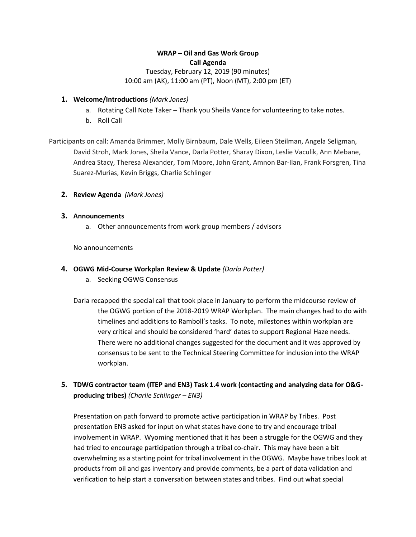# **WRAP – Oil and Gas Work Group Call Agenda**

Tuesday, February 12, 2019 (90 minutes) 10:00 am (AK), 11:00 am (PT), Noon (MT), 2:00 pm (ET)

### **1. Welcome/Introductions** *(Mark Jones)*

- a. Rotating Call Note Taker Thank you Sheila Vance for volunteering to take notes.
- b. Roll Call

Participants on call: Amanda Brimmer, Molly Birnbaum, Dale Wells, Eileen Steilman, Angela Seligman, David Stroh, Mark Jones, Sheila Vance, Darla Potter, Sharay Dixon, Leslie Vaculik, Ann Mebane, Andrea Stacy, Theresa Alexander, Tom Moore, John Grant, Amnon Bar-Ilan, Frank Forsgren, Tina Suarez-Murias, Kevin Briggs, Charlie Schlinger

**2. Review Agenda** *(Mark Jones)*

#### **3. Announcements**

a. Other announcements from work group members / advisors

No announcements

#### **4. OGWG Mid-Course Workplan Review & Update** *(Darla Potter)*

a. Seeking OGWG Consensus

Darla recapped the special call that took place in January to perform the midcourse review of the OGWG portion of the 2018-2019 WRAP Workplan. The main changes had to do with timelines and additions to Ramboll's tasks. To note, milestones within workplan are very critical and should be considered 'hard' dates to support Regional Haze needs. There were no additional changes suggested for the document and it was approved by consensus to be sent to the Technical Steering Committee for inclusion into the WRAP workplan.

**5. TDWG contractor team (ITEP and EN3) Task 1.4 work (contacting and analyzing data for O&Gproducing tribes)** *(Charlie Schlinger – EN3)*

Presentation on path forward to promote active participation in WRAP by Tribes. Post presentation EN3 asked for input on what states have done to try and encourage tribal involvement in WRAP. Wyoming mentioned that it has been a struggle for the OGWG and they had tried to encourage participation through a tribal co-chair. This may have been a bit overwhelming as a starting point for tribal involvement in the OGWG. Maybe have tribes look at products from oil and gas inventory and provide comments, be a part of data validation and verification to help start a conversation between states and tribes. Find out what special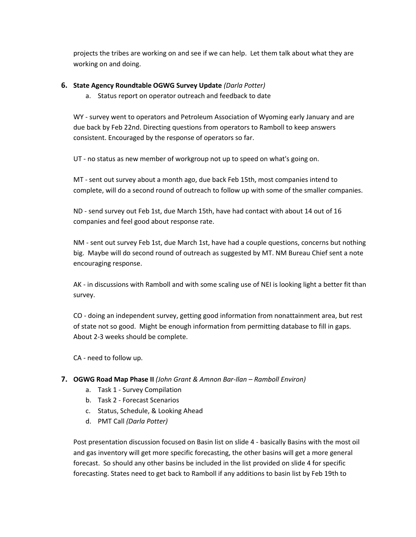projects the tribes are working on and see if we can help. Let them talk about what they are working on and doing.

### **6. State Agency Roundtable OGWG Survey Update** *(Darla Potter)*

a. Status report on operator outreach and feedback to date

WY - survey went to operators and Petroleum Association of Wyoming early January and are due back by Feb 22nd. Directing questions from operators to Ramboll to keep answers consistent. Encouraged by the response of operators so far.

UT - no status as new member of workgroup not up to speed on what's going on.

MT - sent out survey about a month ago, due back Feb 15th, most companies intend to complete, will do a second round of outreach to follow up with some of the smaller companies.

ND - send survey out Feb 1st, due March 15th, have had contact with about 14 out of 16 companies and feel good about response rate.

NM - sent out survey Feb 1st, due March 1st, have had a couple questions, concerns but nothing big. Maybe will do second round of outreach as suggested by MT. NM Bureau Chief sent a note encouraging response.

AK - in discussions with Ramboll and with some scaling use of NEI is looking light a better fit than survey.

CO - doing an independent survey, getting good information from nonattainment area, but rest of state not so good. Might be enough information from permitting database to fill in gaps. About 2-3 weeks should be complete.

CA - need to follow up.

#### **7. OGWG Road Map Phase II** *(John Grant & Amnon Bar-Ilan – Ramboll Environ)*

- a. Task 1 Survey Compilation
- b. Task 2 Forecast Scenarios
- c. Status, Schedule, & Looking Ahead
- d. PMT Call *(Darla Potter)*

Post presentation discussion focused on Basin list on slide 4 - basically Basins with the most oil and gas inventory will get more specific forecasting, the other basins will get a more general forecast. So should any other basins be included in the list provided on slide 4 for specific forecasting. States need to get back to Ramboll if any additions to basin list by Feb 19th to